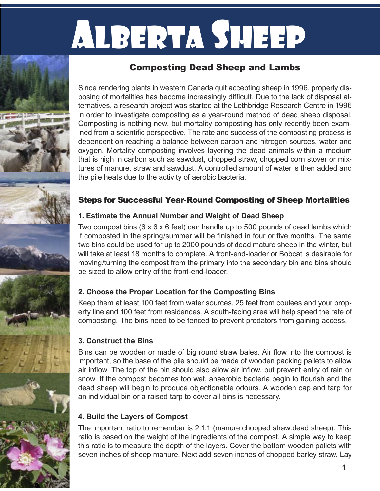# Alberta Sheep

## Composting Dead Sheep and Lambs

Since rendering plants in western Canada quit accepting sheep in 1996, properly disposing of mortalities has become increasingly difficult. Due to the lack of disposal alternatives, a research project was started at the Lethbridge Research Centre in 1996 in order to investigate composting as a year-round method of dead sheep disposal. Composting is nothing new, but mortality composting has only recently been examined from a scientific perspective. The rate and success of the composting process is dependent on reaching a balance between carbon and nitrogen sources, water and oxygen. Mortality composting involves layering the dead animals within a medium that is high in carbon such as sawdust, chopped straw, chopped corn stover or mixtures of manure, straw and sawdust. A controlled amount of water is then added and the pile heats due to the activity of aerobic bacteria.

## Steps for Successful Year-Round Composting of Sheep Mortalities

#### **1. Estimate the Annual Number and Weight of Dead Sheep**

Two compost bins (6 x 6 x 6 feet) can handle up to 500 pounds of dead lambs which if composted in the spring/summer will be finished in four or five months. The same two bins could be used for up to 2000 pounds of dead mature sheep in the winter, but will take at least 18 months to complete. A front-end-loader or Bobcat is desirable for moving/turning the compost from the primary into the secondary bin and bins should be sized to allow entry of the front-end-loader.

## **2. Choose the Proper Location for the Composting Bins**

Keep them at least 100 feet from water sources, 25 feet from coulees and your property line and 100 feet from residences. A south-facing area will help speed the rate of composting. The bins need to be fenced to prevent predators from gaining access.

#### **3. Construct the Bins**

Bins can be wooden or made of big round straw bales. Air flow into the compost is important, so the base of the pile should be made of wooden packing pallets to allow air inflow. The top of the bin should also allow air inflow, but prevent entry of rain or snow. If the compost becomes too wet, anaerobic bacteria begin to flourish and the dead sheep will begin to produce objectionable odours. A wooden cap and tarp for an individual bin or a raised tarp to cover all bins is necessary.

## **4. Build the Layers of Compost**

The important ratio to remember is 2:1:1 (manure:chopped straw:dead sheep). This ratio is based on the weight of the ingredients of the compost. A simple way to keep this ratio is to measure the depth of the layers. Cover the bottom wooden pallets with seven inches of sheep manure. Next add seven inches of chopped barley straw. Lay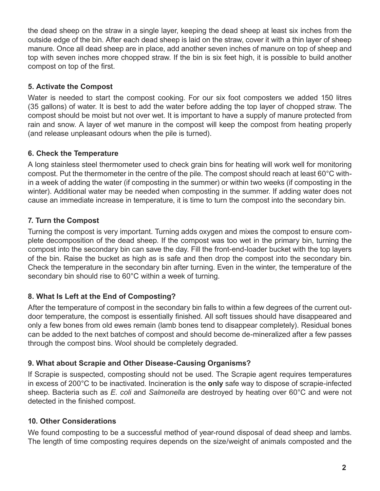the dead sheep on the straw in a single layer, keeping the dead sheep at least six inches from the outside edge of the bin. After each dead sheep is laid on the straw, cover it with a thin layer of sheep manure. Once all dead sheep are in place, add another seven inches of manure on top of sheep and top with seven inches more chopped straw. If the bin is six feet high, it is possible to build another compost on top of the first.

#### **5. Activate the Compost**

Water is needed to start the compost cooking. For our six foot composters we added 150 litres (35 gallons) of water. It is best to add the water before adding the top layer of chopped straw. The compost should be moist but not over wet. It is important to have a supply of manure protected from rain and snow. A layer of wet manure in the compost will keep the compost from heating properly (and release unpleasant odours when the pile is turned).

#### **6. Check the Temperature**

A long stainless steel thermometer used to check grain bins for heating will work well for monitoring compost. Put the thermometer in the centre of the pile. The compost should reach at least 60°C within a week of adding the water (if composting in the summer) or within two weeks (if composting in the winter). Additional water may be needed when composting in the summer. If adding water does not cause an immediate increase in temperature, it is time to turn the compost into the secondary bin.

#### **7. Turn the Compost**

Turning the compost is very important. Turning adds oxygen and mixes the compost to ensure complete decomposition of the dead sheep. If the compost was too wet in the primary bin, turning the compost into the secondary bin can save the day. Fill the front-end-loader bucket with the top layers of the bin. Raise the bucket as high as is safe and then drop the compost into the secondary bin. Check the temperature in the secondary bin after turning. Even in the winter, the temperature of the secondary bin should rise to 60°C within a week of turning.

#### **8. What Is Left at the End of Composting?**

After the temperature of compost in the secondary bin falls to within a few degrees of the current outdoor temperature, the compost is essentially finished. All soft tissues should have disappeared and only a few bones from old ewes remain (lamb bones tend to disappear completely). Residual bones can be added to the next batches of compost and should become de-mineralized after a few passes through the compost bins. Wool should be completely degraded.

#### **9. What about Scrapie and Other Disease-Causing Organisms?**

If Scrapie is suspected, composting should not be used. The Scrapie agent requires temperatures in excess of 200°C to be inactivated. Incineration is the **only** safe way to dispose of scrapie-infected sheep. Bacteria such as *E. coli* and *Salmonella* are destroyed by heating over 60°C and were not detected in the finished compost.

#### **10. Other Considerations**

We found composting to be a successful method of year-round disposal of dead sheep and lambs. The length of time composting requires depends on the size/weight of animals composted and the